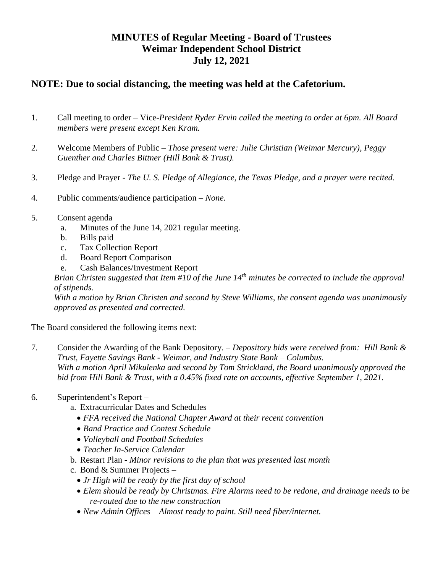## **MINUTES of Regular Meeting - Board of Trustees Weimar Independent School District July 12, 2021**

## **NOTE: Due to social distancing, the meeting was held at the Cafetorium.**

- 1. Call meeting to order Vice-*President Ryder Ervin called the meeting to order at 6pm. All Board members were present except Ken Kram.*
- 2. Welcome Members of Public *Those present were: Julie Christian (Weimar Mercury), Peggy Guenther and Charles Bittner (Hill Bank & Trust).*
- 3. Pledge and Prayer *The U. S. Pledge of Allegiance, the Texas Pledge, and a prayer were recited.*
- 4. Public comments/audience participation *None.*
- 5. Consent agenda
	- a. Minutes of the June 14, 2021 regular meeting.
	- b. Bills paid
	- c. Tax Collection Report
	- d. Board Report Comparison
	- e. Cash Balances/Investment Report

*Brian Christen suggested that Item #10 of the June 14th minutes be corrected to include the approval of stipends.* 

*With a motion by Brian Christen and second by Steve Williams, the consent agenda was unanimously approved as presented and corrected.*

The Board considered the following items next:

7. Consider the Awarding of the Bank Depository. – *Depository bids were received from: Hill Bank & Trust, Fayette Savings Bank - Weimar, and Industry State Bank – Columbus. With a motion April Mikulenka and second by Tom Strickland, the Board unanimously approved the bid from Hill Bank & Trust, with a 0.45% fixed rate on accounts, effective September 1, 2021.*

## 6. Superintendent's Report –

- a. Extracurricular Dates and Schedules
	- *FFA received the National Chapter Award at their recent convention*
	- *Band Practice and Contest Schedule*
	- *Volleyball and Football Schedules*
	- *Teacher In-Service Calendar*
- b. Restart Plan *- Minor revisions to the plan that was presented last month*
- c. Bond & Summer Projects *–*
	- *Jr High will be ready by the first day of school*
	- *Elem should be ready by Christmas. Fire Alarms need to be redone, and drainage needs to be re-routed due to the new construction*
	- *New Admin Offices – Almost ready to paint. Still need fiber/internet.*